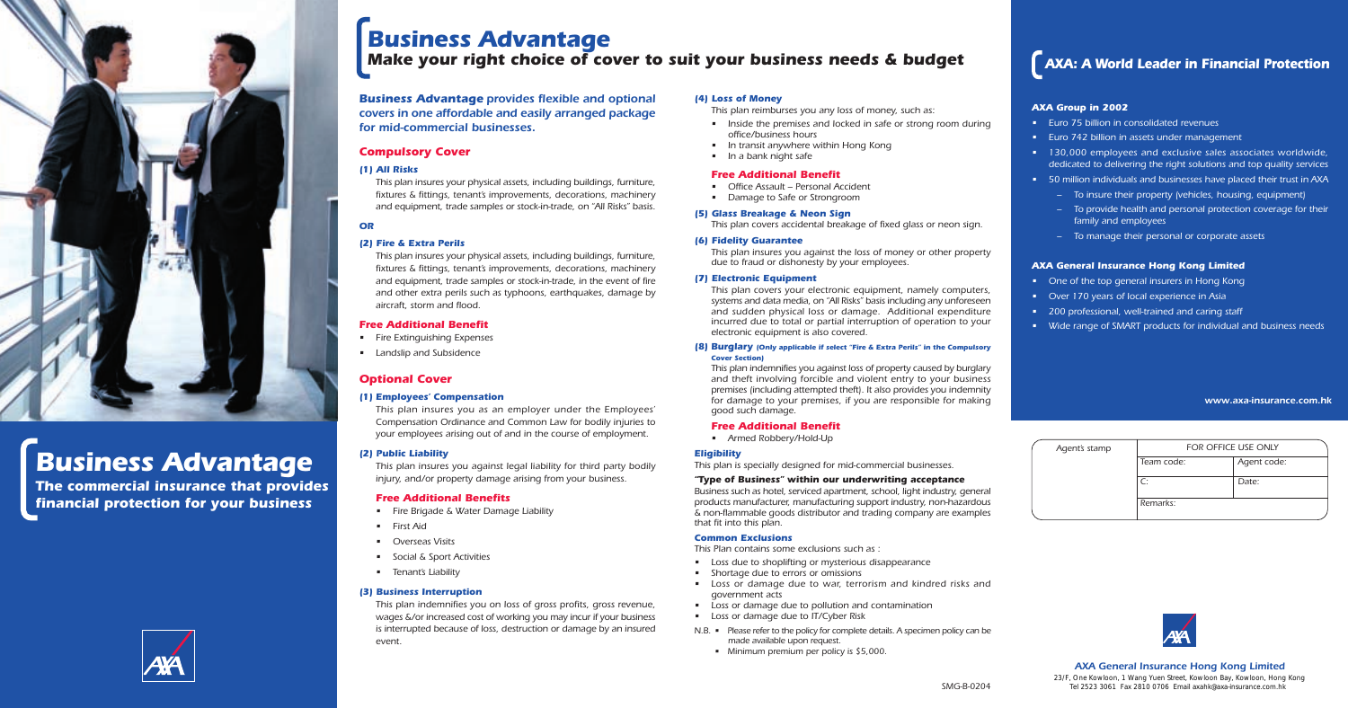

# *Business Advantage*

*The commercial insurance that provides financial protection for your business*



#### *AXA Group in 2002*

- *Euro 75 billion in consolidated revenues*
- *Euro 742 billion in assets under management*

*• 130,000 employees and exclusive sales associates worldwide, dedicated to delivering the right solutions and top quality services • 50 million individuals and businesses have placed their trust in AXA*

- *To insure their property (vehicles, housing, equipment)*
- *To provide health and personal protection coverage for their family and employees*
- *To manage their personal or corporate assets*

#### *AXA General Insurance Hong Kong Limited*

- *One of the top general insurers in Hong Kong*
- *Over 170 years of local experience in Asia*
	- *200 professional, well-trained and caring staff*
- *Wide range of SMART products for individual and business needs*

### *AXA: A World Leader in Financial Protection*

| Agent's stamp | FOR OFFICE USE ONLY |             |
|---------------|---------------------|-------------|
|               | Team code:          | Agent code: |
|               | C:                  | Date:       |
|               | Remarks:            |             |



*www.axa-insurance.com.hk*

## *Business Advantage Make your right choice of cover to suit your business needs & budget*

#### *AXA General Insurance Hong Kong Limited*

*Business Advantage provides flexible and optional covers in one affordable and easily arranged package for mid-commercial businesses.*

#### *Compulsory Cover*

#### *(1) All Risks*

*This plan insures your physical assets, including buildings, furniture, fixtures & fittings, tenant's improvements, decorations, machinery and equipment, trade samples or stock-in-trade, on "All Risks" basis.*

#### *OR*

#### *(2) Fire & Extra Perils*

*This plan insures your physical assets, including buildings, furniture, fixtures & fittings, tenant's improvements, decorations, machinery and equipment, trade samples or stock-in-trade, in the event of fire and other extra perils such as typhoons, earthquakes, damage by aircraft, storm and flood.*

#### *Free Additional Benefit*

- *Fire Extinguishing Expenses*
- *Landslip and Subsidence*

#### *Optional Cover*

#### *(1) Employees' Compensation*

*This plan insures you as an employer under the Employees' Compensation Ordinance and Common Law for bodily injuries to your employees arising out of and in the course of employment.*

#### *(2) Public Liability*

*This plan insures you against legal liability for third party bodily injury, and/or property damage arising from your business.*

#### *Free Additional Benefits*

- *Fire Brigade & Water Damage Liability*
- *First Aid*
- *Overseas Visits*
- *Social & Sport Activities*
- *Tenant's Liability*

#### *(3) Business Interruption*

*This plan indemnifies you on loss of gross profits, gross revenue, wages &/or increased cost of working you may incur if your business is interrupted because of loss, destruction or damage by an insured event.*

#### *(4) Loss of Money*

*This plan reimburses you any loss of money, such as:*

- *Inside the premises and locked in safe or strong room during office/business hours*
- *In transit anywhere within Hong Kong*
- *In a bank night safe*

#### *Free Additional Benefit*

- *Office Assault Personal Accident*
- *Damage to Safe or Strongroom*

*21/F, Manhattan Place, 23 Wang Tai Road, Kowloon Bay, Kowloon, Hong Kong 23/F, One Kowloon, 1 Wang Yuen Street, Kowloon Bay, Kowloon, Hong Kong Tel 2523 3061 Fax 2810 0706 Email axahk@axa-insurance.com.hk Tel 2523 3061 Fax 2810 0706 Email axahk@axa-insurance.com.hk*

#### *(5) Glass Breakage & Neon Sign*

*This plan covers accidental breakage of fixed glass or neon sign.*

#### *(6) Fidelity Guarantee*

*This plan insures you against the loss of money or other property due to fraud or dishonesty by your employees.*

#### *(7) Electronic Equipment*

*This plan covers your electronic equipment, namely computers, systems and data media, on "All Risks" basis including any unforeseen and sudden physical loss or damage. Additional expenditure incurred due to total or partial interruption of operation to your electronic equipment is also covered.*

#### *(8) Burglary (Only applicable if select "Fire & Extra Perils" in the Compulsory Cover Section)*

*This plan indemnifies you against loss of property caused by burglary and theft involving forcible and violent entry to your business premises (including attempted theft). It also provides you indemnity for damage to your premises, if you are responsible for making good such damage.*

#### *Free Additional Benefit*

*• Armed Robbery/Hold-Up*

#### *Eligibility*

*This plan is specially designed for mid-commercial businesses.*

#### *"Type of Business" within our underwriting acceptance*

*Business such as hotel, serviced apartment, school, light industry, general products manufacturer, manufacturing support industry, non-hazardous & non-flammable goods distributor and trading company are examples that fit into this plan.*

#### *Common Exclusions*

*This Plan contains some exclusions such as :*

- *Loss due to shoplifting or mysterious disappearance*
- *Shortage due to errors or omissions*
- *Loss or damage due to war, terrorism and kindred risks and government acts*
- *Loss or damage due to pollution and contamination*
- *Loss or damage due to IT/Cyber Risk*
- *N.B. Please refer to the policy for complete details. A specimen policy can be made available upon request.*
	- *Minimum premium per policy is \$5,000.*

*SMG-B-0204*